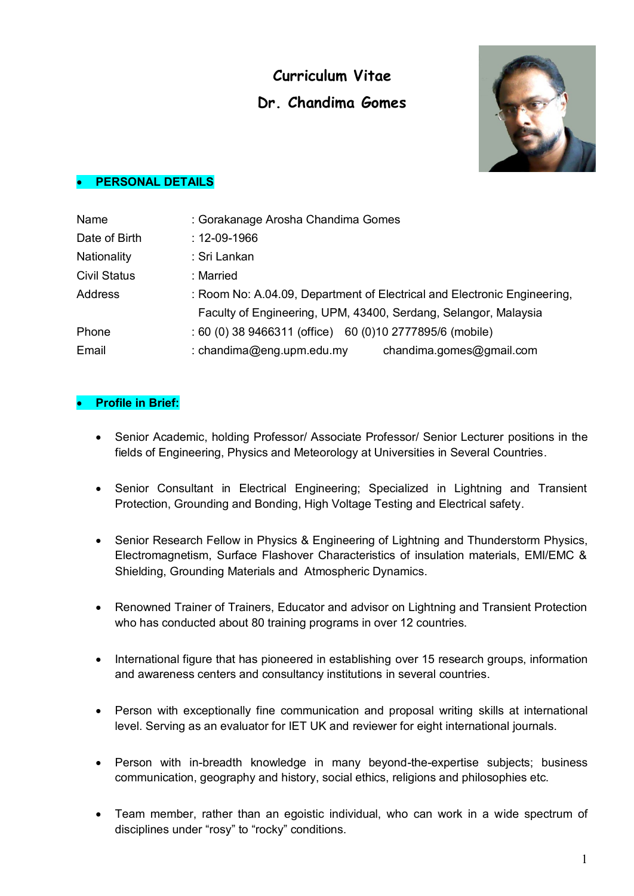# **Curriculum Vitae Dr. Chandima Gomes**



## **PERSONAL DETAILS**

| Name                | : Gorakanage Arosha Chandima Gomes                                       |
|---------------------|--------------------------------------------------------------------------|
| Date of Birth       | $: 12 - 09 - 1966$                                                       |
| Nationality         | : Sri Lankan                                                             |
| <b>Civil Status</b> | : Married                                                                |
| <b>Address</b>      | : Room No: A.04.09, Department of Electrical and Electronic Engineering, |
|                     | Faculty of Engineering, UPM, 43400, Serdang, Selangor, Malaysia          |
| Phone               | : 60 (0) 38 9466311 (office) 60 (0) 10 2777895/6 (mobile)                |
| Email               | : chandima@eng.upm.edu.my<br>chandima.gomes@gmail.com                    |

# **Profile in Brief:**

- Senior Academic, holding Professor/ Associate Professor/ Senior Lecturer positions in the fields of Engineering, Physics and Meteorology at Universities in Several Countries.
- Senior Consultant in Electrical Engineering; Specialized in Lightning and Transient Protection, Grounding and Bonding, High Voltage Testing and Electrical safety.
- Senior Research Fellow in Physics & Engineering of Lightning and Thunderstorm Physics, Electromagnetism, Surface Flashover Characteristics of insulation materials, EMI/EMC & Shielding, Grounding Materials and Atmospheric Dynamics.
- Renowned Trainer of Trainers, Educator and advisor on Lightning and Transient Protection who has conducted about 80 training programs in over 12 countries.
- International figure that has pioneered in establishing over 15 research groups, information and awareness centers and consultancy institutions in several countries.
- Person with exceptionally fine communication and proposal writing skills at international level. Serving as an evaluator for IET UK and reviewer for eight international journals.
- Person with in-breadth knowledge in many beyond-the-expertise subjects; business communication, geography and history, social ethics, religions and philosophies etc.
- Team member, rather than an egoistic individual, who can work in a wide spectrum of disciplines under "rosy" to "rocky" conditions.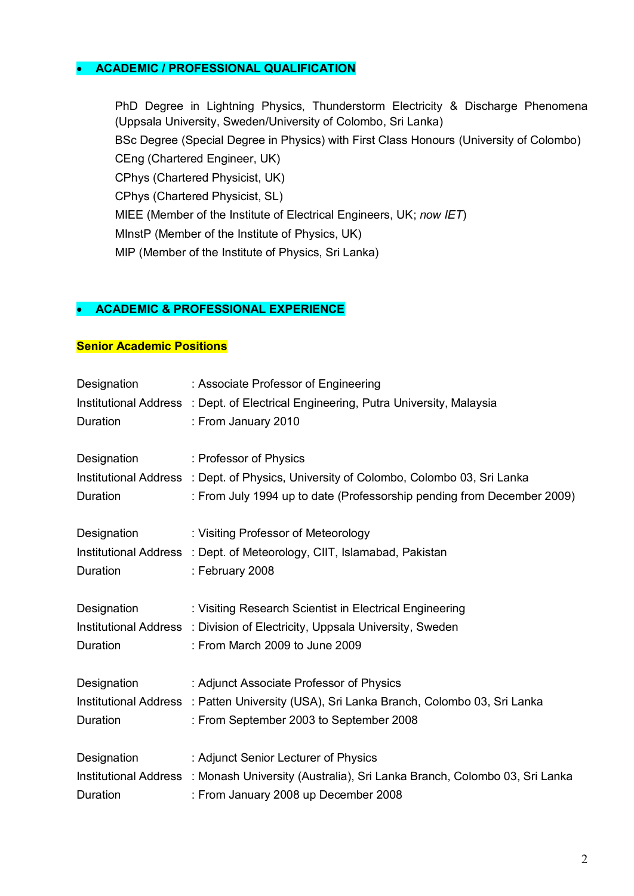# **ACADEMIC / PROFESSIONAL QUALIFICATION**

PhD Degree in Lightning Physics, Thunderstorm Electricity & Discharge Phenomena (Uppsala University, Sweden/University of Colombo, Sri Lanka) BSc Degree (Special Degree in Physics) with First Class Honours (University of Colombo) CEng (Chartered Engineer, UK) CPhys (Chartered Physicist, UK) CPhys (Chartered Physicist, SL) MIEE (Member of the Institute of Electrical Engineers, UK; *now IET*) MInstP (Member of the Institute of Physics, UK) MIP (Member of the Institute of Physics, Sri Lanka)

#### **ACADEMIC & PROFESSIONAL EXPERIENCE**

#### **Senior Academic Positions**

| Designation<br>Duration | : Associate Professor of Engineering<br>Institutional Address : Dept. of Electrical Engineering, Putra University, Malaysia<br>: From January 2010                                         |
|-------------------------|--------------------------------------------------------------------------------------------------------------------------------------------------------------------------------------------|
| Designation<br>Duration | : Professor of Physics<br>Institutional Address : Dept. of Physics, University of Colombo, Colombo 03, Sri Lanka<br>: From July 1994 up to date (Professorship pending from December 2009) |
| Designation<br>Duration | : Visiting Professor of Meteorology<br>Institutional Address : Dept. of Meteorology, CIIT, Islamabad, Pakistan<br>: February 2008                                                          |
| Designation<br>Duration | : Visiting Research Scientist in Electrical Engineering<br>Institutional Address : Division of Electricity, Uppsala University, Sweden<br>: From March 2009 to June 2009                   |
| Designation<br>Duration | : Adjunct Associate Professor of Physics<br>Institutional Address : Patten University (USA), Sri Lanka Branch, Colombo 03, Sri Lanka<br>: From September 2003 to September 2008            |
| Designation<br>Duration | : Adjunct Senior Lecturer of Physics<br>Institutional Address : Monash University (Australia), Sri Lanka Branch, Colombo 03, Sri Lanka<br>: From January 2008 up December 2008             |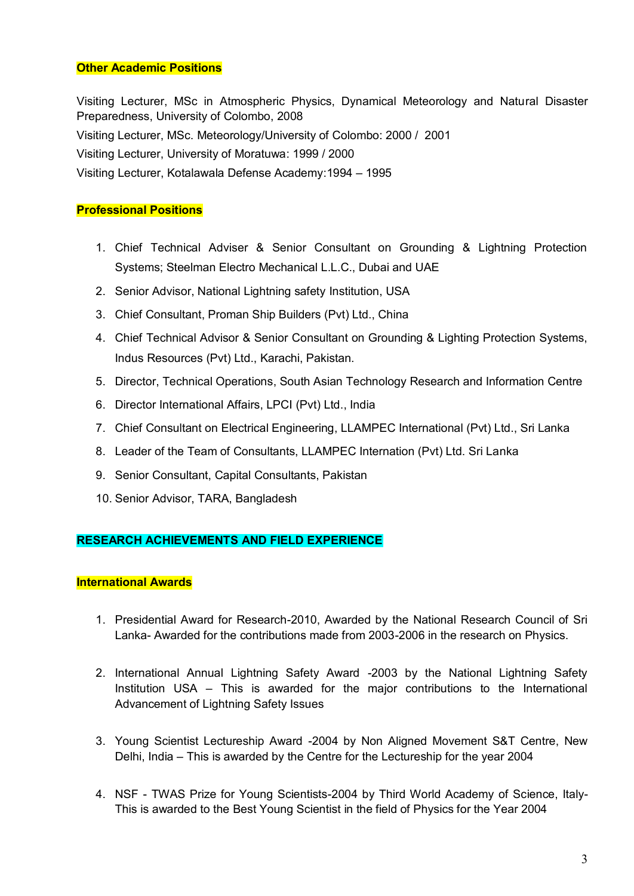## **Other Academic Positions**

Visiting Lecturer, MSc in Atmospheric Physics, Dynamical Meteorology and Natural Disaster Preparedness, University of Colombo, 2008 Visiting Lecturer, MSc. Meteorology/University of Colombo: 2000 / 2001 Visiting Lecturer, University of Moratuwa: 1999 / 2000 Visiting Lecturer, Kotalawala Defense Academy:1994 – 1995

# **Professional Positions**

- 1. Chief Technical Adviser & Senior Consultant on Grounding & Lightning Protection Systems; Steelman Electro Mechanical L.L.C., Dubai and UAE
- 2. Senior Advisor, National Lightning safety Institution, USA
- 3. Chief Consultant, Proman Ship Builders (Pvt) Ltd., China
- 4. Chief Technical Advisor & Senior Consultant on Grounding & Lighting Protection Systems, Indus Resources (Pvt) Ltd., Karachi, Pakistan.
- 5. Director, Technical Operations, South Asian Technology Research and Information Centre
- 6. Director International Affairs, LPCI (Pvt) Ltd., India
- 7. Chief Consultant on Electrical Engineering, LLAMPEC International (Pvt) Ltd., Sri Lanka
- 8. Leader of the Team of Consultants, LLAMPEC Internation (Pvt) Ltd. Sri Lanka
- 9. Senior Consultant, Capital Consultants, Pakistan
- 10. Senior Advisor, TARA, Bangladesh

# **RESEARCH ACHIEVEMENTS AND FIELD EXPERIENCE**

#### **International Awards**

- 1. Presidential Award for Research-2010, Awarded by the National Research Council of Sri Lanka- Awarded for the contributions made from 2003-2006 in the research on Physics.
- 2. International Annual Lightning Safety Award -2003 by the National Lightning Safety Institution USA – This is awarded for the major contributions to the International Advancement of Lightning Safety Issues
- 3. Young Scientist Lectureship Award -2004 by Non Aligned Movement S&T Centre, New Delhi, India – This is awarded by the Centre for the Lectureship for the year 2004
- 4. NSF TWAS Prize for Young Scientists-2004 by Third World Academy of Science, Italy-This is awarded to the Best Young Scientist in the field of Physics for the Year 2004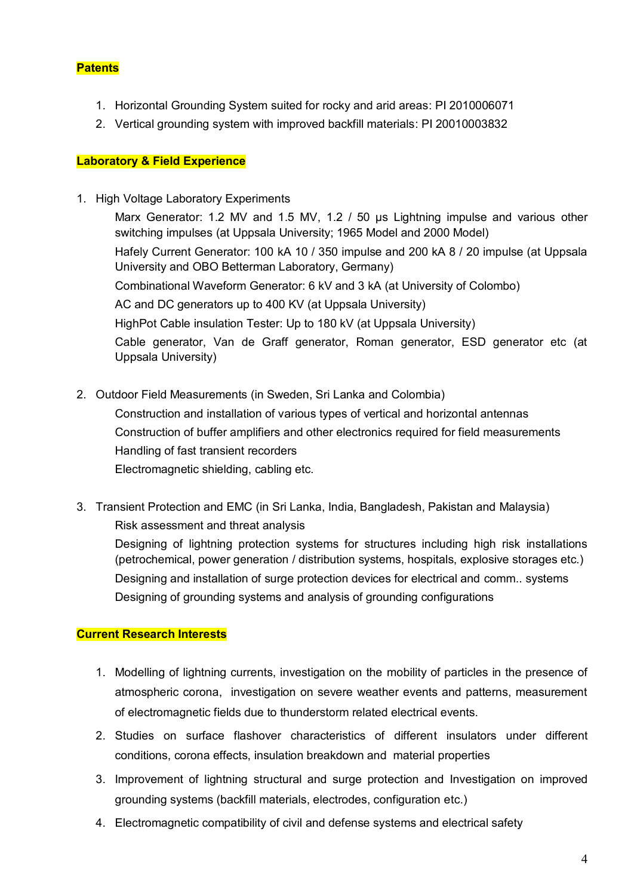# **Patents**

- 1. Horizontal Grounding System suited for rocky and arid areas: PI 2010006071
- 2. Vertical grounding system with improved backfill materials: PI 20010003832

## **Laboratory & Field Experience**

1. High Voltage Laboratory Experiments

Marx Generator: 1.2 MV and 1.5 MV, 1.2 / 50 µs Lightning impulse and various other switching impulses (at Uppsala University; 1965 Model and 2000 Model) Hafely Current Generator: 100 kA 10 / 350 impulse and 200 kA 8 / 20 impulse (at Uppsala University and OBO Betterman Laboratory, Germany) Combinational Waveform Generator: 6 kV and 3 kA (at University of Colombo) AC and DC generators up to 400 KV (at Uppsala University) HighPot Cable insulation Tester: Up to 180 kV (at Uppsala University) Cable generator, Van de Graff generator, Roman generator, ESD generator etc (at Uppsala University)

- 2. Outdoor Field Measurements (in Sweden, Sri Lanka and Colombia) Construction and installation of various types of vertical and horizontal antennas Construction of buffer amplifiers and other electronics required for field measurements Handling of fast transient recorders Electromagnetic shielding, cabling etc.
- 3. Transient Protection and EMC (in Sri Lanka, India, Bangladesh, Pakistan and Malaysia) Risk assessment and threat analysis Designing of lightning protection systems for structures including high risk installations (petrochemical, power generation / distribution systems, hospitals, explosive storages etc.) Designing and installation of surge protection devices for electrical and comm.. systems Designing of grounding systems and analysis of grounding configurations

# **Current Research Interests**

- 1. Modelling of lightning currents, investigation on the mobility of particles in the presence of atmospheric corona, investigation on severe weather events and patterns, measurement of electromagnetic fields due to thunderstorm related electrical events.
- 2. Studies on surface flashover characteristics of different insulators under different conditions, corona effects, insulation breakdown and material properties
- 3. Improvement of lightning structural and surge protection and Investigation on improved grounding systems (backfill materials, electrodes, configuration etc.)
- 4. Electromagnetic compatibility of civil and defense systems and electrical safety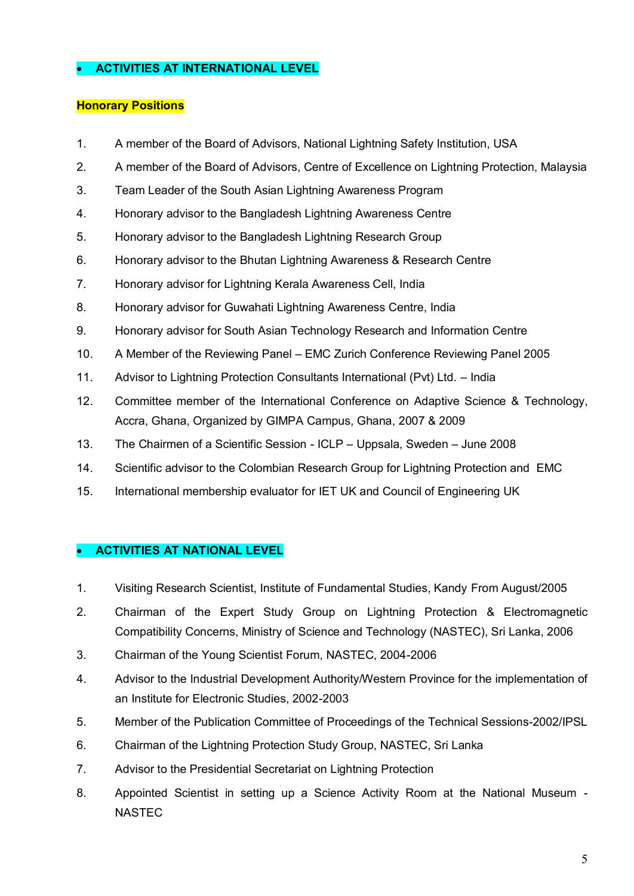# **ACTIVITIES AT INTERNATIONAL LEVEL**

## **Honorary Positions**

- 1. A member of the Board of Advisors, National Lightning Safety Institution, USA
- 2. A member of the Board of Advisors, Centre of Excellence on Lightning Protection, Malaysia
- 3. Team Leader of the South Asian Lightning Awareness Program
- 4. Honorary advisor to the Bangladesh Lightning Awareness Centre
- 5. Honorary advisor to the Bangladesh Lightning Research Group
- 6. Honorary advisor to the Bhutan Lightning Awareness & Research Centre
- 7. Honorary advisor for Lightning Kerala Awareness Cell, India
- 8. Honorary advisor for Guwahati Lightning Awareness Centre, India
- 9. Honorary advisor for South Asian Technology Research and Information Centre
- 10. A Member of the Reviewing Panel EMC Zurich Conference Reviewing Panel 2005
- 11. Advisor to Lightning Protection Consultants International (Pvt) Ltd. India
- 12. Committee member of the International Conference on Adaptive Science & Technology, Accra, Ghana, Organized by GIMPA Campus, Ghana, 2007 & 2009
- 13. The Chairmen of a Scientific Session ICLP Uppsala, Sweden June 2008
- 14. Scientific advisor to the Colombian Research Group for Lightning Protection and EMC
- 15. International membership evaluator for IET UK and Council of Engineering UK

#### **ACTIVITIES AT NATIONAL LEVEL**

- 1. Visiting Research Scientist, Institute of Fundamental Studies, Kandy From August/2005
- 2. Chairman of the Expert Study Group on Lightning Protection & Electromagnetic Compatibility Concerns, Ministry of Science and Technology (NASTEC), Sri Lanka, 2006
- 3. Chairman of the Young Scientist Forum, NASTEC, 2004-2006
- 4. Advisor to the Industrial Development Authority/Western Province for the implementation of an Institute for Electronic Studies, 2002-2003
- 5. Member of the Publication Committee of Proceedings of the Technical Sessions-2002/IPSL
- 6. Chairman of the Lightning Protection Study Group, NASTEC, Sri Lanka
- 7. Advisor to the Presidential Secretariat on Lightning Protection
- 8. Appointed Scientist in setting up a Science Activity Room at the National Museum NASTEC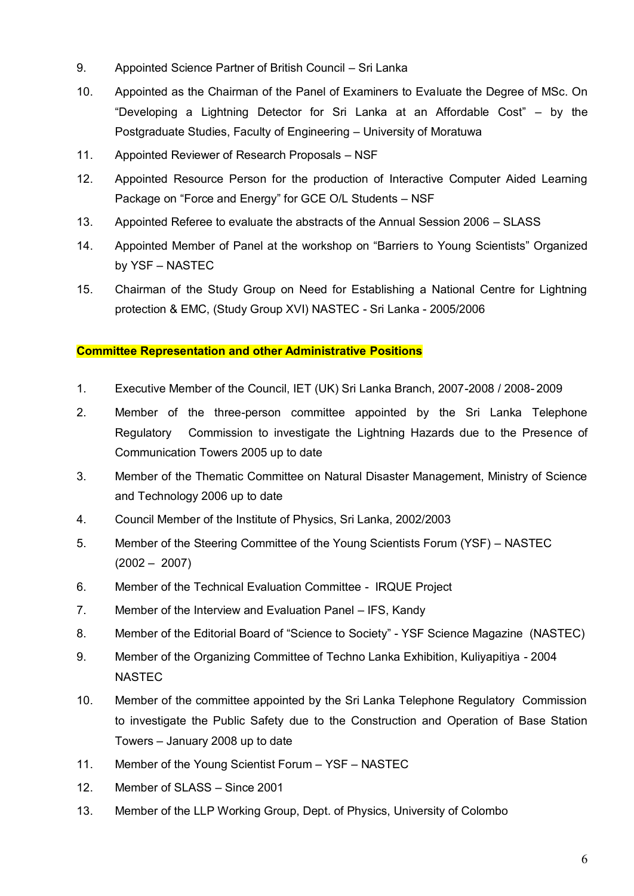- 9. Appointed Science Partner of British Council Sri Lanka
- 10. Appointed as the Chairman of the Panel of Examiners to Evaluate the Degree of MSc. On "Developing a Lightning Detector for Sri Lanka at an Affordable Cost" – by the Postgraduate Studies, Faculty of Engineering – University of Moratuwa
- 11. Appointed Reviewer of Research Proposals NSF
- 12. Appointed Resource Person for the production of Interactive Computer Aided Learning Package on "Force and Energy" for GCE O/L Students – NSF
- 13. Appointed Referee to evaluate the abstracts of the Annual Session 2006 SLASS
- 14. Appointed Member of Panel at the workshop on "Barriers to Young Scientists" Organized by YSF – NASTEC
- 15. Chairman of the Study Group on Need for Establishing a National Centre for Lightning protection & EMC, (Study Group XVI) NASTEC - Sri Lanka - 2005/2006

# **Committee Representation and other Administrative Positions**

- 1. Executive Member of the Council, IET (UK) Sri Lanka Branch, 2007-2008 / 2008- 2009
- 2. Member of the three-person committee appointed by the Sri Lanka Telephone Regulatory Commission to investigate the Lightning Hazards due to the Presence of Communication Towers 2005 up to date
- 3. Member of the Thematic Committee on Natural Disaster Management, Ministry of Science and Technology 2006 up to date
- 4. Council Member of the Institute of Physics, Sri Lanka, 2002/2003
- 5. Member of the Steering Committee of the Young Scientists Forum (YSF) NASTEC (2002 – 2007)
- 6. Member of the Technical Evaluation Committee IRQUE Project
- 7. Member of the Interview and Evaluation Panel IFS, Kandy
- 8. Member of the Editorial Board of "Science to Society" YSF Science Magazine (NASTEC)
- 9. Member of the Organizing Committee of Techno Lanka Exhibition, Kuliyapitiya 2004 NASTEC
- 10. Member of the committee appointed by the Sri Lanka Telephone Regulatory Commission to investigate the Public Safety due to the Construction and Operation of Base Station Towers – January 2008 up to date
- 11. Member of the Young Scientist Forum YSF NASTEC
- 12. Member of SLASS Since 2001
- 13. Member of the LLP Working Group, Dept. of Physics, University of Colombo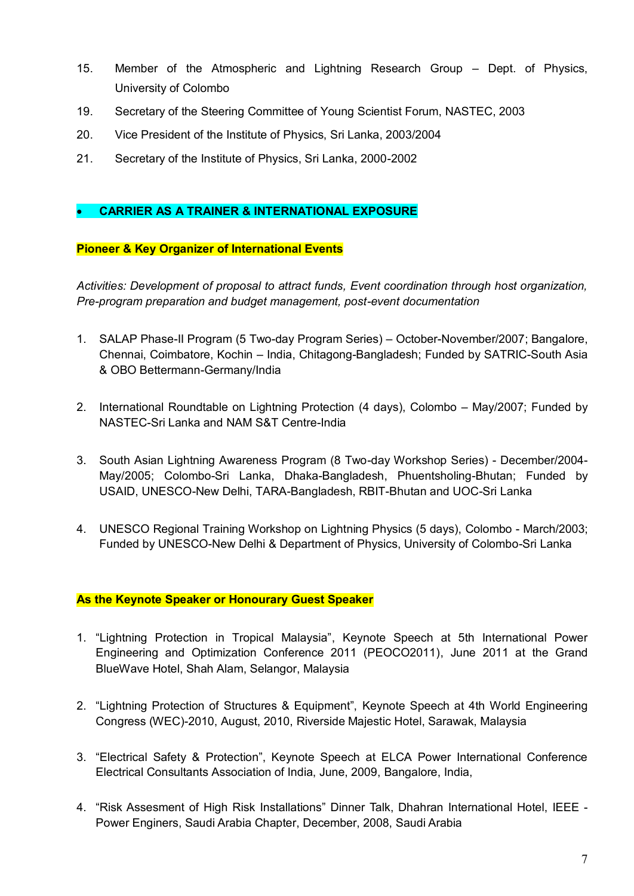- 15. Member of the Atmospheric and Lightning Research Group Dept. of Physics, University of Colombo
- 19. Secretary of the Steering Committee of Young Scientist Forum, NASTEC, 2003
- 20. Vice President of the Institute of Physics, Sri Lanka, 2003/2004
- 21. Secretary of the Institute of Physics, Sri Lanka, 2000-2002

# **CARRIER AS A TRAINER & INTERNATIONAL EXPOSURE**

# **Pioneer & Key Organizer of International Events**

*Activities: Development of proposal to attract funds, Event coordination through host organization, Pre-program preparation and budget management, post-event documentation*

- 1. SALAP Phase-II Program (5 Two-day Program Series) October-November/2007; Bangalore, Chennai, Coimbatore, Kochin – India, Chitagong-Bangladesh; Funded by SATRIC-South Asia & OBO Bettermann-Germany/India
- 2. International Roundtable on Lightning Protection (4 days), Colombo May/2007; Funded by NASTEC-Sri Lanka and NAM S&T Centre-India
- 3. South Asian Lightning Awareness Program (8 Two-day Workshop Series) December/2004- May/2005; Colombo-Sri Lanka, Dhaka-Bangladesh, Phuentsholing-Bhutan; Funded by USAID, UNESCO-New Delhi, TARA-Bangladesh, RBIT-Bhutan and UOC-Sri Lanka
- 4. UNESCO Regional Training Workshop on Lightning Physics (5 days), Colombo March/2003; Funded by UNESCO-New Delhi & Department of Physics, University of Colombo-Sri Lanka

# **As the Keynote Speaker or Honourary Guest Speaker**

- 1. "Lightning Protection in Tropical Malaysia", Keynote Speech at 5th International Power Engineering and Optimization Conference 2011 (PEOCO2011), June 2011 at the Grand BlueWave Hotel, Shah Alam, Selangor, Malaysia
- 2. "Lightning Protection of Structures & Equipment", Keynote Speech at 4th World Engineering Congress (WEC)-2010, August, 2010, Riverside Majestic Hotel, Sarawak, Malaysia
- 3. "Electrical Safety & Protection", Keynote Speech at ELCA Power International Conference Electrical Consultants Association of India, June, 2009, Bangalore, India,
- 4. "Risk Assesment of High Risk Installations" Dinner Talk, Dhahran International Hotel, IEEE Power Enginers, Saudi Arabia Chapter, December, 2008, Saudi Arabia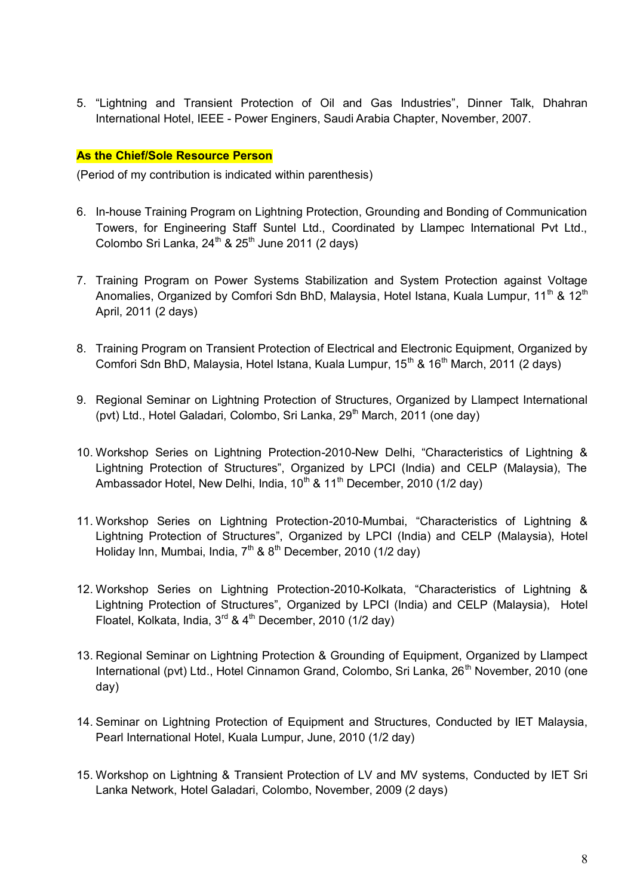5. "Lightning and Transient Protection of Oil and Gas Industries", Dinner Talk, Dhahran International Hotel, IEEE - Power Enginers, Saudi Arabia Chapter, November, 2007.

## **As the Chief/Sole Resource Person**

(Period of my contribution is indicated within parenthesis)

- 6. In-house Training Program on Lightning Protection, Grounding and Bonding of Communication Towers, for Engineering Staff Suntel Ltd., Coordinated by Llampec International Pvt Ltd., Colombo Sri Lanka,  $24^{th}$  &  $25^{th}$  June 2011 (2 days)
- 7. Training Program on Power Systems Stabilization and System Protection against Voltage Anomalies, Organized by Comfori Sdn BhD, Malaysia, Hotel Istana, Kuala Lumpur, 11<sup>th</sup> & 12<sup>th</sup> April, 2011 (2 days)
- 8. Training Program on Transient Protection of Electrical and Electronic Equipment, Organized by Comfori Sdn BhD, Malaysia, Hotel Istana, Kuala Lumpur, 15<sup>th</sup> & 16<sup>th</sup> March, 2011 (2 days)
- 9. Regional Seminar on Lightning Protection of Structures, Organized by Llampect International (pvt) Ltd., Hotel Galadari, Colombo, Sri Lanka, 29<sup>th</sup> March, 2011 (one day)
- 10. Workshop Series on Lightning Protection-2010-New Delhi, "Characteristics of Lightning & Lightning Protection of Structures", Organized by LPCI (India) and CELP (Malaysia), The Ambassador Hotel, New Delhi, India,  $10^{th}$  &  $11^{th}$  December, 2010 (1/2 day)
- 11. Workshop Series on Lightning Protection-2010-Mumbai, "Characteristics of Lightning & Lightning Protection of Structures", Organized by LPCI (India) and CELP (Malaysia), Hotel Holiday Inn, Mumbai, India,  $7<sup>th</sup>$  &  $8<sup>th</sup>$  December, 2010 (1/2 day)
- 12. Workshop Series on Lightning Protection-2010-Kolkata, "Characteristics of Lightning & Lightning Protection of Structures", Organized by LPCI (India) and CELP (Malaysia), Hotel Floatel, Kolkata, India,  $3^{rd}$  &  $4^{th}$  December, 2010 (1/2 day)
- 13. Regional Seminar on Lightning Protection & Grounding of Equipment, Organized by Llampect International (pvt) Ltd., Hotel Cinnamon Grand, Colombo, Sri Lanka, 26<sup>th</sup> November, 2010 (one day)
- 14. Seminar on Lightning Protection of Equipment and Structures, Conducted by IET Malaysia, Pearl International Hotel, Kuala Lumpur, June, 2010 (1/2 day)
- 15. Workshop on Lightning & Transient Protection of LV and MV systems, Conducted by IET Sri Lanka Network, Hotel Galadari, Colombo, November, 2009 (2 days)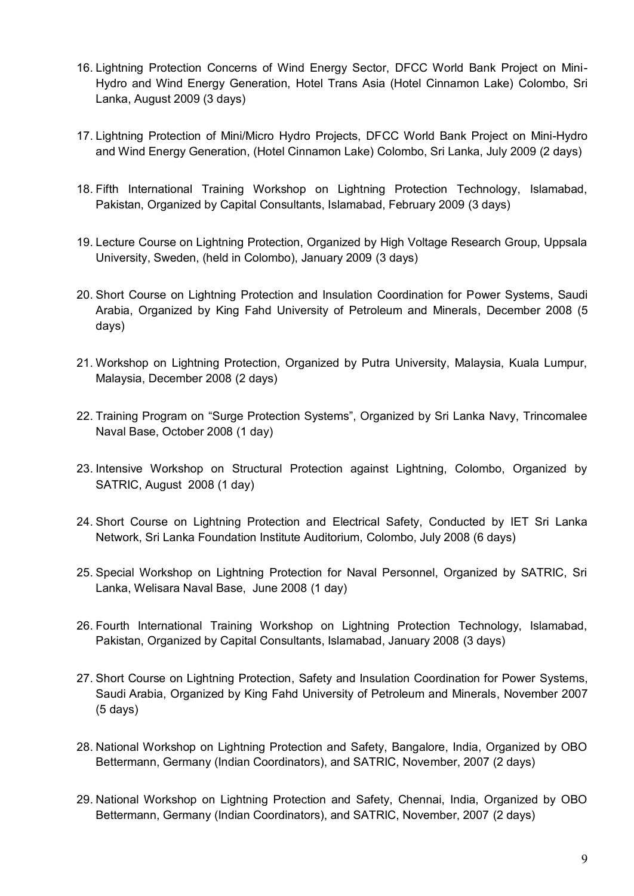- 16. Lightning Protection Concerns of Wind Energy Sector, DFCC World Bank Project on Mini-Hydro and Wind Energy Generation, Hotel Trans Asia (Hotel Cinnamon Lake) Colombo, Sri Lanka, August 2009 (3 days)
- 17. Lightning Protection of Mini/Micro Hydro Projects, DFCC World Bank Project on Mini-Hydro and Wind Energy Generation, (Hotel Cinnamon Lake) Colombo, Sri Lanka, July 2009 (2 days)
- 18. Fifth International Training Workshop on Lightning Protection Technology, Islamabad, Pakistan, Organized by Capital Consultants, Islamabad, February 2009 (3 days)
- 19. Lecture Course on Lightning Protection, Organized by High Voltage Research Group, Uppsala University, Sweden, (held in Colombo), January 2009 (3 days)
- 20. Short Course on Lightning Protection and Insulation Coordination for Power Systems, Saudi Arabia, Organized by King Fahd University of Petroleum and Minerals, December 2008 (5 days)
- 21. Workshop on Lightning Protection, Organized by Putra University, Malaysia, Kuala Lumpur, Malaysia, December 2008 (2 days)
- 22. Training Program on "Surge Protection Systems", Organized by Sri Lanka Navy, Trincomalee Naval Base, October 2008 (1 day)
- 23. Intensive Workshop on Structural Protection against Lightning, Colombo, Organized by SATRIC, August 2008 (1 day)
- 24. Short Course on Lightning Protection and Electrical Safety, Conducted by IET Sri Lanka Network, Sri Lanka Foundation Institute Auditorium, Colombo, July 2008 (6 days)
- 25. Special Workshop on Lightning Protection for Naval Personnel, Organized by SATRIC, Sri Lanka, Welisara Naval Base, June 2008 (1 day)
- 26. Fourth International Training Workshop on Lightning Protection Technology, Islamabad, Pakistan, Organized by Capital Consultants, Islamabad, January 2008 (3 days)
- 27. Short Course on Lightning Protection, Safety and Insulation Coordination for Power Systems, Saudi Arabia, Organized by King Fahd University of Petroleum and Minerals, November 2007 (5 days)
- 28. National Workshop on Lightning Protection and Safety, Bangalore, India, Organized by OBO Bettermann, Germany (Indian Coordinators), and SATRIC, November, 2007 (2 days)
- 29. National Workshop on Lightning Protection and Safety, Chennai, India, Organized by OBO Bettermann, Germany (Indian Coordinators), and SATRIC, November, 2007 (2 days)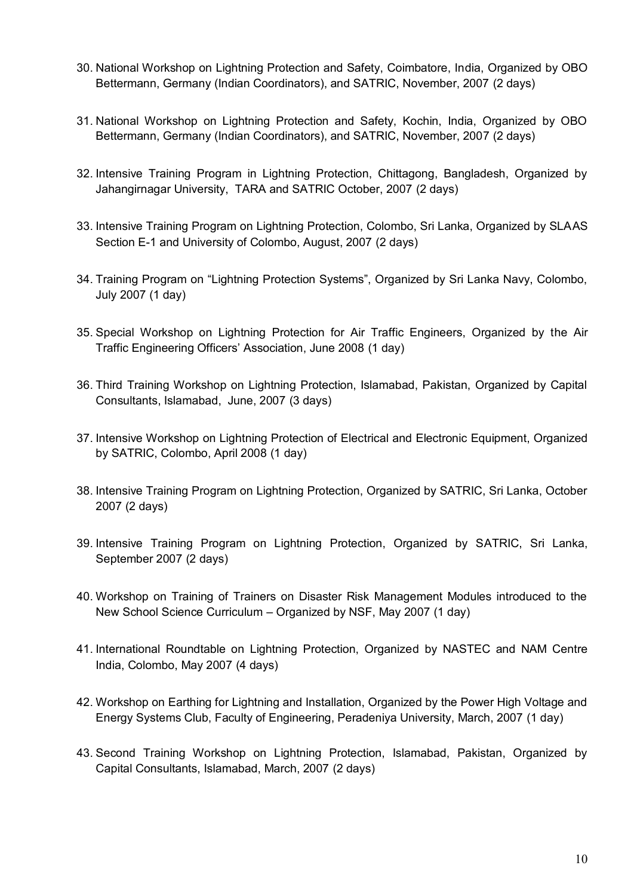- 30. National Workshop on Lightning Protection and Safety, Coimbatore, India, Organized by OBO Bettermann, Germany (Indian Coordinators), and SATRIC, November, 2007 (2 days)
- 31. National Workshop on Lightning Protection and Safety, Kochin, India, Organized by OBO Bettermann, Germany (Indian Coordinators), and SATRIC, November, 2007 (2 days)
- 32. Intensive Training Program in Lightning Protection, Chittagong, Bangladesh, Organized by Jahangirnagar University, TARA and SATRIC October, 2007 (2 days)
- 33. Intensive Training Program on Lightning Protection, Colombo, Sri Lanka, Organized by SLAAS Section E-1 and University of Colombo, August, 2007 (2 days)
- 34. Training Program on "Lightning Protection Systems", Organized by Sri Lanka Navy, Colombo, July 2007 (1 day)
- 35. Special Workshop on Lightning Protection for Air Traffic Engineers, Organized by the Air Traffic Engineering Officers' Association, June 2008 (1 day)
- 36. Third Training Workshop on Lightning Protection, Islamabad, Pakistan, Organized by Capital Consultants, Islamabad, June, 2007 (3 days)
- 37. Intensive Workshop on Lightning Protection of Electrical and Electronic Equipment, Organized by SATRIC, Colombo, April 2008 (1 day)
- 38. Intensive Training Program on Lightning Protection, Organized by SATRIC, Sri Lanka, October 2007 (2 days)
- 39. Intensive Training Program on Lightning Protection, Organized by SATRIC, Sri Lanka, September 2007 (2 days)
- 40. Workshop on Training of Trainers on Disaster Risk Management Modules introduced to the New School Science Curriculum – Organized by NSF, May 2007 (1 day)
- 41. International Roundtable on Lightning Protection, Organized by NASTEC and NAM Centre India, Colombo, May 2007 (4 days)
- 42. Workshop on Earthing for Lightning and Installation, Organized by the Power High Voltage and Energy Systems Club, Faculty of Engineering, Peradeniya University, March, 2007 (1 day)
- 43. Second Training Workshop on Lightning Protection, Islamabad, Pakistan, Organized by Capital Consultants, Islamabad, March, 2007 (2 days)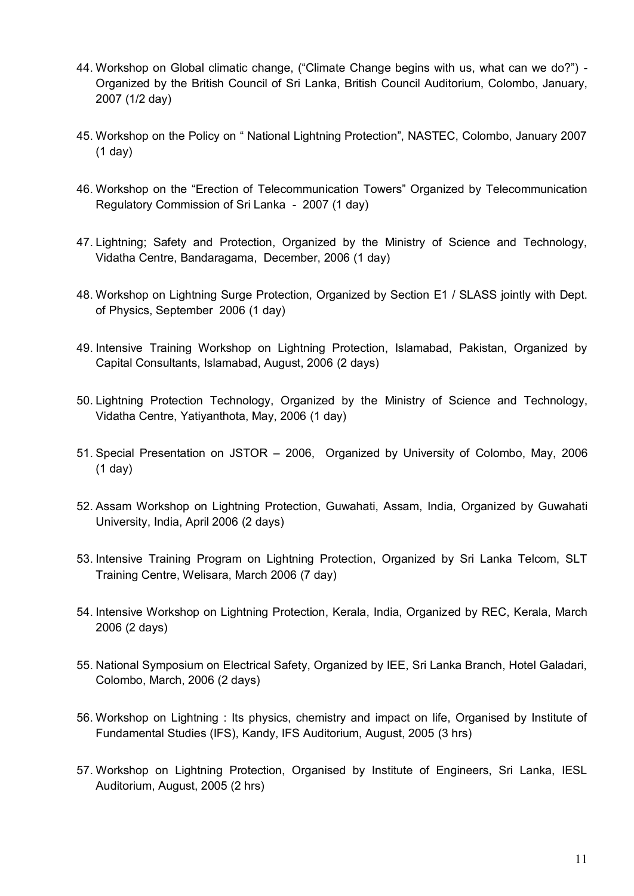- 44. Workshop on Global climatic change, ("Climate Change begins with us, what can we do?") Organized by the British Council of Sri Lanka, British Council Auditorium, Colombo, January, 2007 (1/2 day)
- 45. Workshop on the Policy on " National Lightning Protection", NASTEC, Colombo, January 2007 (1 day)
- 46. Workshop on the "Erection of Telecommunication Towers" Organized by Telecommunication Regulatory Commission of Sri Lanka - 2007 (1 day)
- 47. Lightning; Safety and Protection, Organized by the Ministry of Science and Technology, Vidatha Centre, Bandaragama, December, 2006 (1 day)
- 48. Workshop on Lightning Surge Protection, Organized by Section E1 / SLASS jointly with Dept. of Physics, September 2006 (1 day)
- 49. Intensive Training Workshop on Lightning Protection, Islamabad, Pakistan, Organized by Capital Consultants, Islamabad, August, 2006 (2 days)
- 50. Lightning Protection Technology, Organized by the Ministry of Science and Technology, Vidatha Centre, Yatiyanthota, May, 2006 (1 day)
- 51. Special Presentation on JSTOR 2006, Organized by University of Colombo, May, 2006 (1 day)
- 52. Assam Workshop on Lightning Protection, Guwahati, Assam, India, Organized by Guwahati University, India, April 2006 (2 days)
- 53. Intensive Training Program on Lightning Protection, Organized by Sri Lanka Telcom, SLT Training Centre, Welisara, March 2006 (7 day)
- 54. Intensive Workshop on Lightning Protection, Kerala, India, Organized by REC, Kerala, March 2006 (2 days)
- 55. National Symposium on Electrical Safety, Organized by IEE, Sri Lanka Branch, Hotel Galadari, Colombo, March, 2006 (2 days)
- 56. Workshop on Lightning : Its physics, chemistry and impact on life, Organised by Institute of Fundamental Studies (IFS), Kandy, IFS Auditorium, August, 2005 (3 hrs)
- 57. Workshop on Lightning Protection, Organised by Institute of Engineers, Sri Lanka, IESL Auditorium, August, 2005 (2 hrs)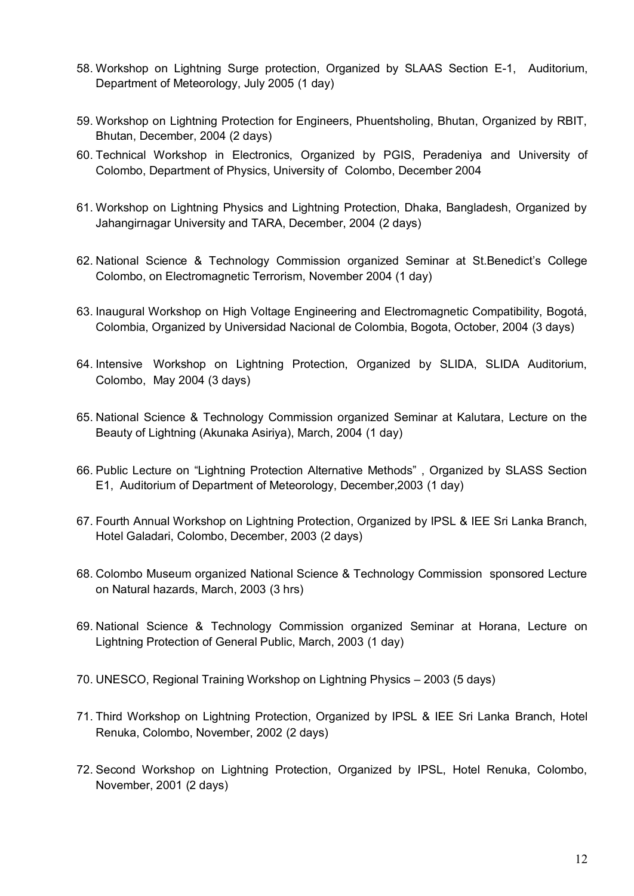- 58. Workshop on Lightning Surge protection, Organized by SLAAS Section E-1, Auditorium, Department of Meteorology, July 2005 (1 day)
- 59. Workshop on Lightning Protection for Engineers, Phuentsholing, Bhutan, Organized by RBIT, Bhutan, December, 2004 (2 days)
- 60. Technical Workshop in Electronics, Organized by PGIS, Peradeniya and University of Colombo, Department of Physics, University of Colombo, December 2004
- 61. Workshop on Lightning Physics and Lightning Protection, Dhaka, Bangladesh, Organized by Jahangirnagar University and TARA, December, 2004 (2 days)
- 62. National Science & Technology Commission organized Seminar at St.Benedict's College Colombo, on Electromagnetic Terrorism, November 2004 (1 day)
- 63. Inaugural Workshop on High Voltage Engineering and Electromagnetic Compatibility, Bogotá, Colombia, Organized by Universidad Nacional de Colombia, Bogota, October, 2004 (3 days)
- 64. Intensive Workshop on Lightning Protection, Organized by SLIDA, SLIDA Auditorium, Colombo, May 2004 (3 days)
- 65. National Science & Technology Commission organized Seminar at Kalutara, Lecture on the Beauty of Lightning (Akunaka Asiriya), March, 2004 (1 day)
- 66. Public Lecture on "Lightning Protection Alternative Methods" , Organized by SLASS Section E1, Auditorium of Department of Meteorology, December,2003 (1 day)
- 67. Fourth Annual Workshop on Lightning Protection, Organized by IPSL & IEE Sri Lanka Branch, Hotel Galadari, Colombo, December, 2003 (2 days)
- 68. Colombo Museum organized National Science & Technology Commission sponsored Lecture on Natural hazards, March, 2003 (3 hrs)
- 69. National Science & Technology Commission organized Seminar at Horana, Lecture on Lightning Protection of General Public, March, 2003 (1 day)
- 70. UNESCO, Regional Training Workshop on Lightning Physics 2003 (5 days)
- 71. Third Workshop on Lightning Protection, Organized by IPSL & IEE Sri Lanka Branch, Hotel Renuka, Colombo, November, 2002 (2 days)
- 72. Second Workshop on Lightning Protection, Organized by IPSL, Hotel Renuka, Colombo, November, 2001 (2 days)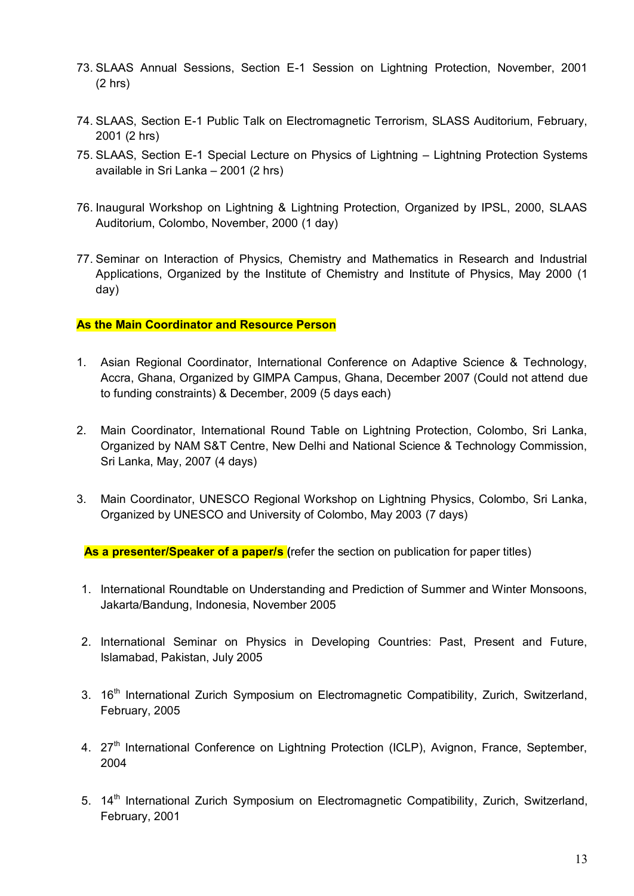- 73. SLAAS Annual Sessions, Section E-1 Session on Lightning Protection, November, 2001 (2 hrs)
- 74. SLAAS, Section E-1 Public Talk on Electromagnetic Terrorism, SLASS Auditorium, February, 2001 (2 hrs)
- 75. SLAAS, Section E-1 Special Lecture on Physics of Lightning Lightning Protection Systems available in Sri Lanka – 2001 (2 hrs)
- 76. Inaugural Workshop on Lightning & Lightning Protection, Organized by IPSL, 2000, SLAAS Auditorium, Colombo, November, 2000 (1 day)
- 77. Seminar on Interaction of Physics, Chemistry and Mathematics in Research and Industrial Applications, Organized by the Institute of Chemistry and Institute of Physics, May 2000 (1 day)

## **As the Main Coordinator and Resource Person**

- 1. Asian Regional Coordinator, International Conference on Adaptive Science & Technology, Accra, Ghana, Organized by GIMPA Campus, Ghana, December 2007 (Could not attend due to funding constraints) & December, 2009 (5 days each)
- 2. Main Coordinator, International Round Table on Lightning Protection, Colombo, Sri Lanka, Organized by NAM S&T Centre, New Delhi and National Science & Technology Commission, Sri Lanka, May, 2007 (4 days)
- 3. Main Coordinator, UNESCO Regional Workshop on Lightning Physics, Colombo, Sri Lanka, Organized by UNESCO and University of Colombo, May 2003 (7 days)

**As a presenter/Speaker of a paper/s (**refer the section on publication for paper titles)

- 1. International Roundtable on Understanding and Prediction of Summer and Winter Monsoons, Jakarta/Bandung, Indonesia, November 2005
- 2. International Seminar on Physics in Developing Countries: Past, Present and Future, Islamabad, Pakistan, July 2005
- 3. 16<sup>th</sup> International Zurich Symposium on Electromagnetic Compatibility, Zurich, Switzerland, February, 2005
- 4. 27<sup>th</sup> International Conference on Lightning Protection (ICLP), Avignon, France, September, 2004
- 5. 14<sup>th</sup> International Zurich Symposium on Electromagnetic Compatibility, Zurich, Switzerland, February, 2001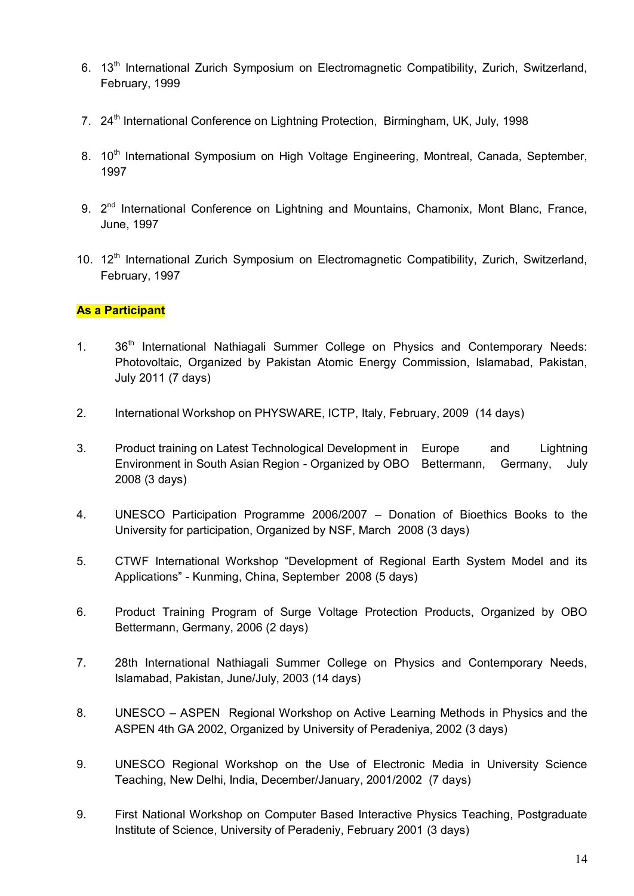- 6. 13<sup>th</sup> International Zurich Symposium on Electromagnetic Compatibility, Zurich, Switzerland, February, 1999
- 7. 24<sup>th</sup> International Conference on Lightning Protection, Birmingham, UK, July, 1998
- 8. 10<sup>th</sup> International Symposium on High Voltage Engineering, Montreal, Canada, September, 1997
- 9. 2<sup>nd</sup> International Conference on Lightning and Mountains, Chamonix, Mont Blanc, France, June, 1997
- 10. 12<sup>th</sup> International Zurich Symposium on Electromagnetic Compatibility, Zurich, Switzerland, February, 1997

# **As a Participant**

- 1. 36<sup>th</sup> International Nathiagali Summer College on Physics and Contemporary Needs: Photovoltaic, Organized by Pakistan Atomic Energy Commission, Islamabad, Pakistan, July 2011 (7 days)
- 2. International Workshop on PHYSWARE, ICTP, Italy, February, 2009 (14 days)
- 3. Product training on Latest Technological Development in Europe and Lightning Environment in South Asian Region - Organized by OBO Bettermann, Germany, July 2008 (3 days)
- 4. UNESCO Participation Programme 2006/2007 Donation of Bioethics Books to the University for participation, Organized by NSF, March 2008 (3 days)
- 5. CTWF International Workshop "Development of Regional Earth System Model and its Applications" - Kunming, China, September 2008 (5 days)
- 6. Product Training Program of Surge Voltage Protection Products, Organized by OBO Bettermann, Germany, 2006 (2 days)
- 7. 28th International Nathiagali Summer College on Physics and Contemporary Needs, Islamabad, Pakistan, June/July, 2003 (14 days)
- 8. UNESCO ASPEN Regional Workshop on Active Learning Methods in Physics and the ASPEN 4th GA 2002, Organized by University of Peradeniya, 2002 (3 days)
- 9. UNESCO Regional Workshop on the Use of Electronic Media in University Science Teaching, New Delhi, India, December/January, 2001/2002 (7 days)
- 9. First National Workshop on Computer Based Interactive Physics Teaching, Postgraduate Institute of Science, University of Peradeniy, February 2001 (3 days)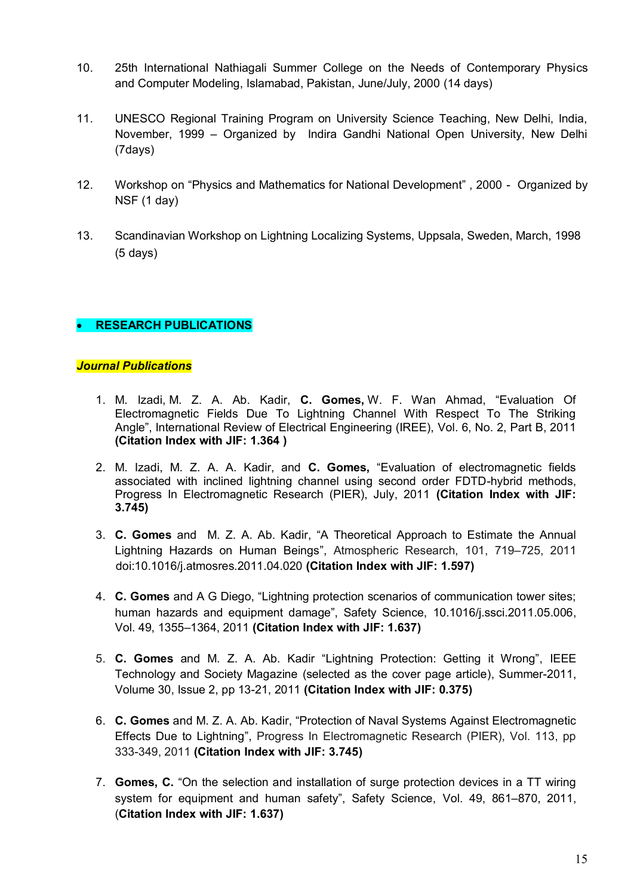- 10. 25th International Nathiagali Summer College on the Needs of Contemporary Physics and Computer Modeling, Islamabad, Pakistan, June/July, 2000 (14 days)
- 11. UNESCO Regional Training Program on University Science Teaching, New Delhi, India, November, 1999 – Organized by Indira Gandhi National Open University, New Delhi (7days)
- 12. Workshop on "Physics and Mathematics for National Development" , 2000 Organized by NSF (1 day)
- 13. Scandinavian Workshop on Lightning Localizing Systems, Uppsala, Sweden, March, 1998 (5 days)

# **RESEARCH PUBLICATIONS**

## *Journal Publications*

- 1. M. Izadi, M. Z. A. Ab. Kadir, **C. Gomes,** W. F. Wan Ahmad, "Evaluation Of Electromagnetic Fields Due To Lightning Channel With Respect To The Striking Angle", International Review of Electrical Engineering (IREE), Vol. 6, No. 2, Part B, 2011 **(Citation Index with JIF: 1.364 )**
- 2. M. Izadi, M. Z. A. A. Kadir, and **C. Gomes,** "Evaluation of electromagnetic fields associated with inclined lightning channel using second order FDTD-hybrid methods, Progress In Electromagnetic Research (PIER), July, 2011 **(Citation Index with JIF: 3.745)**
- 3. **C. Gomes** and M. Z. A. Ab. Kadir, "A Theoretical Approach to Estimate the Annual Lightning Hazards on Human Beings", Atmospheric Research, 101, 719–725, 2011 [doi:10.1016/j.atmosres.2011.04.020](http://dx.doi.org/10.1016/j.atmosres.2011.04.020) **(Citation Index with JIF: 1.597)**
- 4. **C. Gomes** and A G Diego, "Lightning protection scenarios of communication tower sites; human hazards and equipment damage", Safety Science, 10.1016/j.ssci.2011.05.006, Vol. 49, 1355–1364, 2011 **(Citation Index with JIF: 1.637)**
- 5. **C. Gomes** and M. Z. A. Ab. Kadir "Lightning Protection: Getting it Wrong", IEEE Technology and Society Magazine (selected as the cover page article), Summer-2011, Volume 30, Issue 2, pp 13-21, 2011 **(Citation Index with JIF: 0.375)**
- 6. **C. Gomes** and M. Z. A. Ab. Kadir, "Protection of Naval Systems Against Electromagnetic Effects Due to Lightning", Progress In Electromagnetic Research (PIER), Vol. 113, pp 333-349, 2011 **(Citation Index with JIF: 3.745)**
- 7. **Gomes, C.** "On the selection and installation of surge protection devices in a TT wiring system for equipment and human safety", Safety Science, Vol. 49, 861–870, 2011, (**Citation Index with JIF: 1.637)**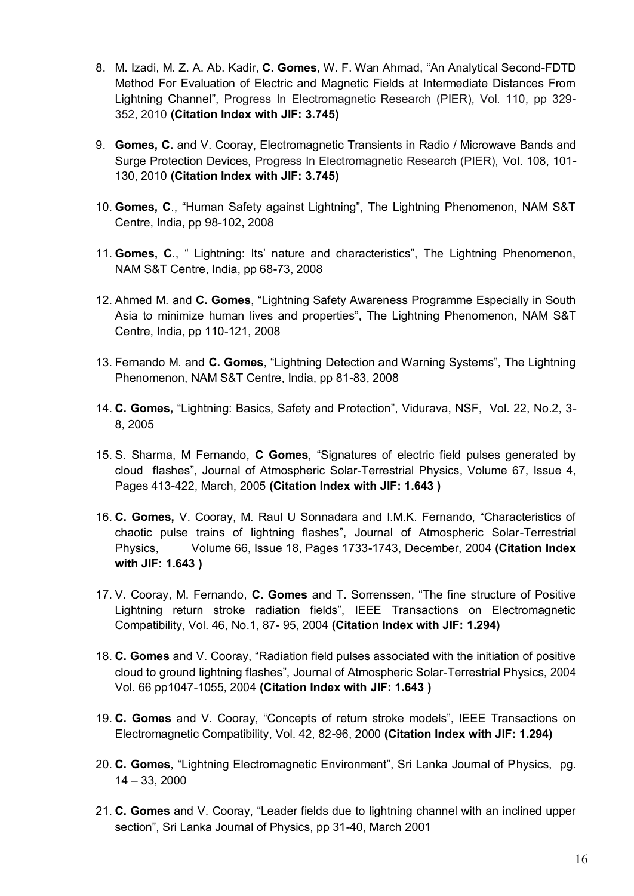- 8. M. Izadi, M. Z. A. Ab. Kadir, **C. Gomes**, W. F. Wan Ahmad, "An Analytical Second-FDTD Method For Evaluation of Electric and Magnetic Fields at Intermediate Distances From Lightning Channel", Progress In Electromagnetic Research (PIER), Vol. 110, pp 329- 352, 2010 **(Citation Index with JIF: 3.745)**
- 9. **Gomes, C.** and V. Cooray, Electromagnetic Transients in Radio / Microwave Bands and Surge Protection Devices, Progress In Electromagnetic Research (PIER), Vol. 108, 101- 130, 2010 **(Citation Index with JIF: 3.745)**
- 10. **Gomes, C**., "Human Safety against Lightning", The Lightning Phenomenon, NAM S&T Centre, India, pp 98-102, 2008
- 11. **Gomes, C**., " Lightning: Its' nature and characteristics", The Lightning Phenomenon, NAM S&T Centre, India, pp 68-73, 2008
- 12. Ahmed M. and **C. Gomes**, "Lightning Safety Awareness Programme Especially in South Asia to minimize human lives and properties", The Lightning Phenomenon, NAM S&T Centre, India, pp 110-121, 2008
- 13. Fernando M. and **C. Gomes**, "Lightning Detection and Warning Systems", The Lightning Phenomenon, NAM S&T Centre, India, pp 81-83, 2008
- 14. **C. Gomes,** "Lightning: Basics, Safety and Protection", Vidurava, NSF, Vol. 22, No.2, 3- 8, 2005
- 15. S. Sharma, M Fernando, **C Gomes**, "Signatures of electric field pulses generated by cloud flashes", Journal of Atmospheric Solar-Terrestrial Physics, Volume 67, Issue 4, Pages 413-422, March, 2005 **(Citation Index with JIF: 1.643 )**
- 16. **C. Gomes,** V. Cooray, M. Raul U Sonnadara and I.M.K. Fernando, "Characteristics of chaotic pulse trains of lightning flashes", Journal of Atmospheric Solar-Terrestrial Physics, Volume 66, Issue 18, Pages 1733-1743, December, 2004 **(Citation Index with JIF: 1.643 )**
- 17. V. Cooray, M. Fernando, **C. Gomes** and T. Sorrenssen, "The fine structure of Positive Lightning return stroke radiation fields", IEEE Transactions on Electromagnetic Compatibility, Vol. 46, No.1, 87- 95, 2004 **(Citation Index with JIF: 1.294)**
- 18. **C. Gomes** and V. Cooray, "Radiation field pulses associated with the initiation of positive cloud to ground lightning flashes", Journal of Atmospheric Solar-Terrestrial Physics, 2004 Vol. 66 pp1047-1055, 2004 **(Citation Index with JIF: 1.643 )**
- 19. **C. Gomes** and V. Cooray, "Concepts of return stroke models", IEEE Transactions on Electromagnetic Compatibility, Vol. 42, 82-96, 2000 **(Citation Index with JIF: 1.294)**
- 20. **C. Gomes**, "Lightning Electromagnetic Environment", Sri Lanka Journal of Physics, pg. 14 – 33, 2000
- 21. **C. Gomes** and V. Cooray, "Leader fields due to lightning channel with an inclined upper section", Sri Lanka Journal of Physics, pp 31-40, March 2001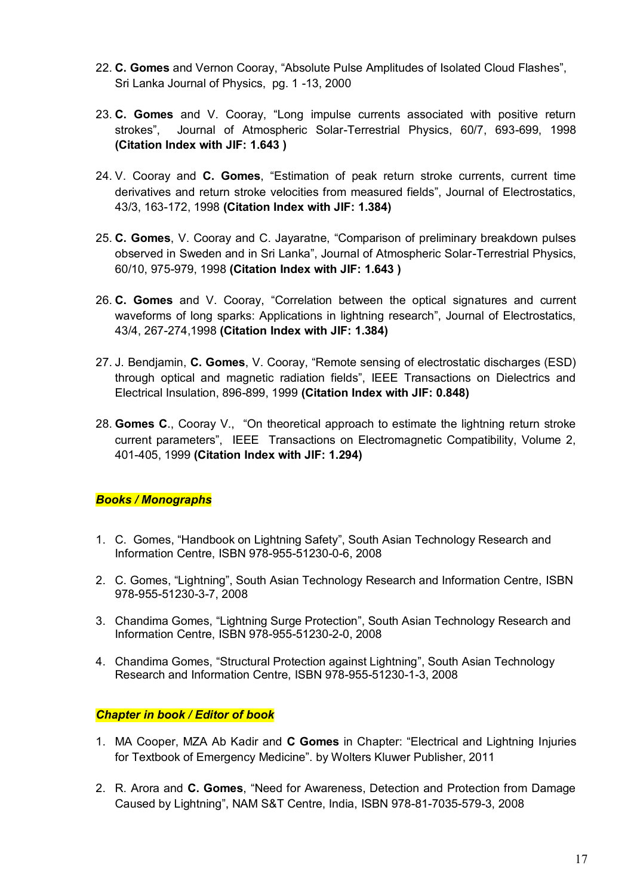- 22. **C. Gomes** and Vernon Cooray, "Absolute Pulse Amplitudes of Isolated Cloud Flashes", Sri Lanka Journal of Physics, pg. 1 -13, 2000
- 23. **C. Gomes** and V. Cooray, "Long impulse currents associated with positive return strokes", Journal of Atmospheric Solar-Terrestrial Physics, 60/7, 693-699, 1998 **(Citation Index with JIF: 1.643 )**
- 24. V. Cooray and **C. Gomes**, "Estimation of peak return stroke currents, current time derivatives and return stroke velocities from measured fields", Journal of Electrostatics, 43/3, 163-172, 1998 **(Citation Index with JIF: 1.384)**
- 25. **C. Gomes**, V. Cooray and C. Jayaratne, "Comparison of preliminary breakdown pulses observed in Sweden and in Sri Lanka", Journal of Atmospheric Solar-Terrestrial Physics, 60/10, 975-979, 1998 **(Citation Index with JIF: 1.643 )**
- 26. **C. Gomes** and V. Cooray, "Correlation between the optical signatures and current waveforms of long sparks: Applications in lightning research", Journal of Electrostatics, 43/4, 267-274,1998 **(Citation Index with JIF: 1.384)**
- 27. J. Bendjamin, **C. Gomes**, V. Cooray, "Remote sensing of electrostatic discharges (ESD) through optical and magnetic radiation fields", IEEE Transactions on Dielectrics and Electrical Insulation, 896-899, 1999 **(Citation Index with JIF: 0.848)**
- 28. **Gomes C**., Cooray V., "On theoretical approach to estimate the lightning return stroke current parameters", IEEE Transactions on Electromagnetic Compatibility, Volume 2, 401-405, 1999 **(Citation Index with JIF: 1.294)**

# *Books / Monographs*

- 1. C. Gomes, "Handbook on Lightning Safety", South Asian Technology Research and Information Centre, ISBN 978-955-51230-0-6, 2008
- 2. C. Gomes, "Lightning", South Asian Technology Research and Information Centre, ISBN 978-955-51230-3-7, 2008
- 3. Chandima Gomes, "Lightning Surge Protection", South Asian Technology Research and Information Centre, ISBN 978-955-51230-2-0, 2008
- 4. Chandima Gomes, "Structural Protection against Lightning", South Asian Technology Research and Information Centre, ISBN 978-955-51230-1-3, 2008

#### *Chapter in book / Editor of book*

- 1. MA Cooper, MZA Ab Kadir and **C Gomes** in Chapter: "Electrical and Lightning Injuries for Textbook of Emergency Medicine". by Wolters Kluwer Publisher, 2011
- 2. R. Arora and **C. Gomes**, "Need for Awareness, Detection and Protection from Damage Caused by Lightning", NAM S&T Centre, India, ISBN 978-81-7035-579-3, 2008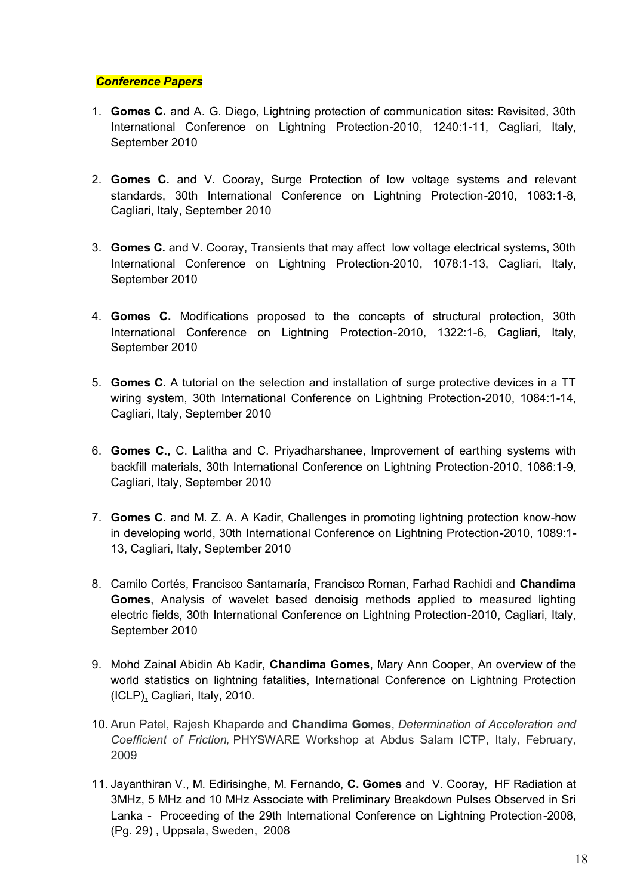#### *Conference Papers*

- 1. **Gomes C.** and A. G. Diego, Lightning protection of communication sites: Revisited, 30th International Conference on Lightning Protection-2010, 1240:1-11, Cagliari, Italy, September 2010
- 2. **Gomes C.** and V. Cooray, Surge Protection of low voltage systems and relevant standards, 30th International Conference on Lightning Protection-2010, 1083:1-8, Cagliari, Italy, September 2010
- 3. **Gomes C.** and V. Cooray, Transients that may affect low voltage electrical systems, 30th International Conference on Lightning Protection-2010, 1078:1-13, Cagliari, Italy, September 2010
- 4. **Gomes C.** Modifications proposed to the concepts of structural protection, 30th International Conference on Lightning Protection-2010, 1322:1-6, Cagliari, Italy, September 2010
- 5. **Gomes C.** A tutorial on the selection and installation of surge protective devices in a TT wiring system, 30th International Conference on Lightning Protection-2010, 1084:1-14, Cagliari, Italy, September 2010
- 6. **Gomes C.,** C. Lalitha and C. Priyadharshanee, Improvement of earthing systems with backfill materials, 30th International Conference on Lightning Protection-2010, 1086:1-9, Cagliari, Italy, September 2010
- 7. **Gomes C.** and M. Z. A. A Kadir, Challenges in promoting lightning protection know-how in developing world, 30th International Conference on Lightning Protection-2010, 1089:1- 13, Cagliari, Italy, September 2010
- 8. Camilo Cortés, Francisco Santamaría, Francisco Roman, Farhad Rachidi and **Chandima Gomes**, Analysis of wavelet based denoisig methods applied to measured lighting electric fields, 30th International Conference on Lightning Protection-2010, Cagliari, Italy, September 2010
- 9. Mohd Zainal Abidin Ab Kadir, **Chandima Gomes**, Mary Ann Cooper, An overview of the world statistics on lightning fatalities, International Conference on Lightning Protection (ICLP), Cagliari, Italy, 2010.
- 10. Arun Patel, Rajesh Khaparde and **Chandima Gomes**, *Determination of Acceleration and Coefficient of Friction,* PHYSWARE Workshop at Abdus Salam ICTP, Italy, February, 2009
- 11. Jayanthiran V., M. Edirisinghe, M. Fernando, **C. Gomes** and V. Cooray, HF Radiation at 3MHz, 5 MHz and 10 MHz Associate with Preliminary Breakdown Pulses Observed in Sri Lanka - Proceeding of the 29th International Conference on Lightning Protection-2008, (Pg. 29) , Uppsala, Sweden, 2008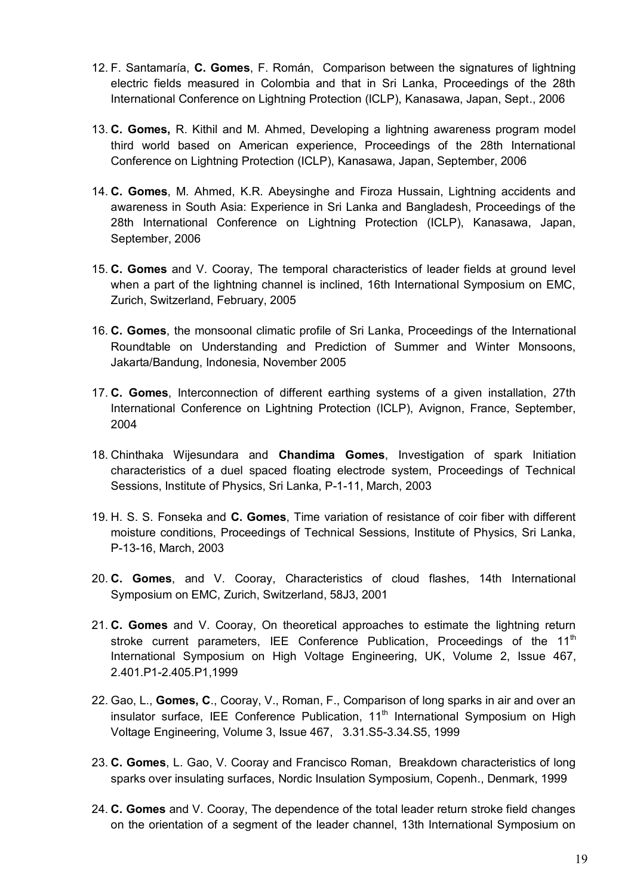- 12. F. Santamaría, **C. Gomes**, F. Román, Comparison between the signatures of lightning electric fields measured in Colombia and that in Sri Lanka, Proceedings of the 28th International Conference on Lightning Protection (ICLP), Kanasawa, Japan, Sept., 2006
- 13. **C. Gomes,** R. Kithil and M. Ahmed, Developing a lightning awareness program model third world based on American experience, Proceedings of the 28th International Conference on Lightning Protection (ICLP), Kanasawa, Japan, September, 2006
- 14. **C. Gomes**, M. Ahmed, K.R. Abeysinghe and Firoza Hussain, Lightning accidents and awareness in South Asia: Experience in Sri Lanka and Bangladesh, Proceedings of the 28th International Conference on Lightning Protection (ICLP), Kanasawa, Japan, September, 2006
- 15. **C. Gomes** and V. Cooray, The temporal characteristics of leader fields at ground level when a part of the lightning channel is inclined, 16th International Symposium on EMC, Zurich, Switzerland, February, 2005
- 16. **C. Gomes**, the monsoonal climatic profile of Sri Lanka, Proceedings of the International Roundtable on Understanding and Prediction of Summer and Winter Monsoons, Jakarta/Bandung, Indonesia, November 2005
- 17. **C. Gomes**, Interconnection of different earthing systems of a given installation, 27th International Conference on Lightning Protection (ICLP), Avignon, France, September, 2004
- 18. Chinthaka Wijesundara and **Chandima Gomes**, Investigation of spark Initiation characteristics of a duel spaced floating electrode system, Proceedings of Technical Sessions, Institute of Physics, Sri Lanka, P-1-11, March, 2003
- 19. H. S. S. Fonseka and **C. Gomes**, Time variation of resistance of coir fiber with different moisture conditions, Proceedings of Technical Sessions, Institute of Physics, Sri Lanka, P-13-16, March, 2003
- 20. **C. Gomes**, and V. Cooray, Characteristics of cloud flashes, 14th International Symposium on EMC, Zurich, Switzerland, 58J3, 2001
- 21. **C. Gomes** and V. Cooray, On theoretical approaches to estimate the lightning return stroke current parameters, [IEE Conference Publication,](http://www.scopus.com/source/sourceInfo.url?sourceId=34914&origin=recordpage) Proceedings of the  $11<sup>th</sup>$ International Symposium on High Voltage Engineering, UK, Volume 2, Issue 467, 2.401.P1-2.405.P1,1999
- 22. Gao, L., **Gomes, C**., Cooray, V., Roman, F., Comparison of long sparks in air and over an  $insulator surface$ , [IEE Conference Publication,](http://www.scopus.com/source/sourceInfo.url?sourceId=34914&origin=recordpage)  $11<sup>th</sup>$  International Symposium on High Voltage Engineering, Volume 3, Issue 467, 3.31.S5-3.34.S5, 1999
- 23. **C. Gomes**, L. Gao, V. Cooray and Francisco Roman, Breakdown characteristics of long sparks over insulating surfaces, Nordic Insulation Symposium, Copenh., Denmark, 1999
- 24. **C. Gomes** and V. Cooray, The dependence of the total leader return stroke field changes on the orientation of a segment of the leader channel, 13th International Symposium on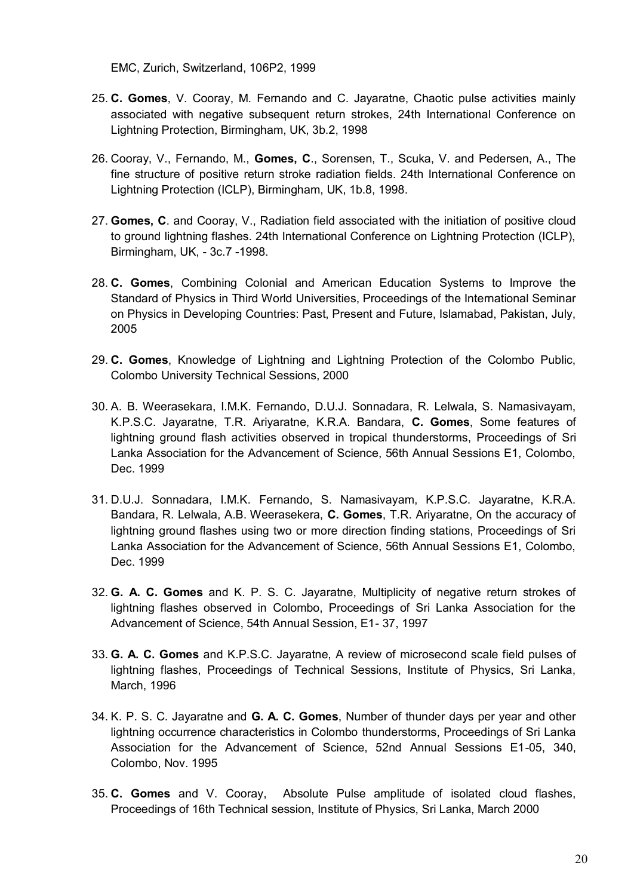EMC, Zurich, Switzerland, 106P2, 1999

- 25. **C. Gomes**, V. Cooray, M. Fernando and C. Jayaratne, Chaotic pulse activities mainly associated with negative subsequent return strokes, 24th International Conference on Lightning Protection, Birmingham, UK, 3b.2, 1998
- 26. Cooray, V., Fernando, M., **Gomes, C**., Sorensen, T., Scuka, V. and Pedersen, A., The fine structure of positive return stroke radiation fields. 24th International Conference on Lightning Protection (ICLP), Birmingham, UK, 1b.8, 1998.
- 27. **Gomes, C**. and Cooray, V., Radiation field associated with the initiation of positive cloud to ground lightning flashes. 24th International Conference on Lightning Protection (ICLP), Birmingham, UK, - 3c.7 -1998.
- 28. **C. Gomes**, Combining Colonial and American Education Systems to Improve the Standard of Physics in Third World Universities, Proceedings of the International Seminar on Physics in Developing Countries: Past, Present and Future, Islamabad, Pakistan, July, 2005
- 29. **C. Gomes**, Knowledge of Lightning and Lightning Protection of the Colombo Public, Colombo University Technical Sessions, 2000
- 30. A. B. Weerasekara, I.M.K. Fernando, D.U.J. Sonnadara, R. Lelwala, S. Namasivayam, K.P.S.C. Jayaratne, T.R. Ariyaratne, K.R.A. Bandara, **C. Gomes**, Some features of lightning ground flash activities observed in tropical thunderstorms, Proceedings of Sri Lanka Association for the Advancement of Science, 56th Annual Sessions E1, Colombo, Dec. 1999
- 31. D.U.J. Sonnadara, I.M.K. Fernando, S. Namasivayam, K.P.S.C. Jayaratne, K.R.A. Bandara, R. Lelwala, A.B. Weerasekera, **C. Gomes**, T.R. Ariyaratne, On the accuracy of lightning ground flashes using two or more direction finding stations, Proceedings of Sri Lanka Association for the Advancement of Science, 56th Annual Sessions E1, Colombo, Dec. 1999
- 32. **G. A. C. Gomes** and K. P. S. C. Jayaratne, Multiplicity of negative return strokes of lightning flashes observed in Colombo, Proceedings of Sri Lanka Association for the Advancement of Science, 54th Annual Session, E1- 37, 1997
- 33. **G. A. C. Gomes** and K.P.S.C. Jayaratne, A review of microsecond scale field pulses of lightning flashes, Proceedings of Technical Sessions, Institute of Physics, Sri Lanka, March, 1996
- 34. K. P. S. C. Jayaratne and **G. A. C. Gomes**, Number of thunder days per year and other lightning occurrence characteristics in Colombo thunderstorms, Proceedings of Sri Lanka Association for the Advancement of Science, 52nd Annual Sessions E1-05, 340, Colombo, Nov. 1995
- 35. **C. Gomes** and V. Cooray, Absolute Pulse amplitude of isolated cloud flashes, Proceedings of 16th Technical session, Institute of Physics, Sri Lanka, March 2000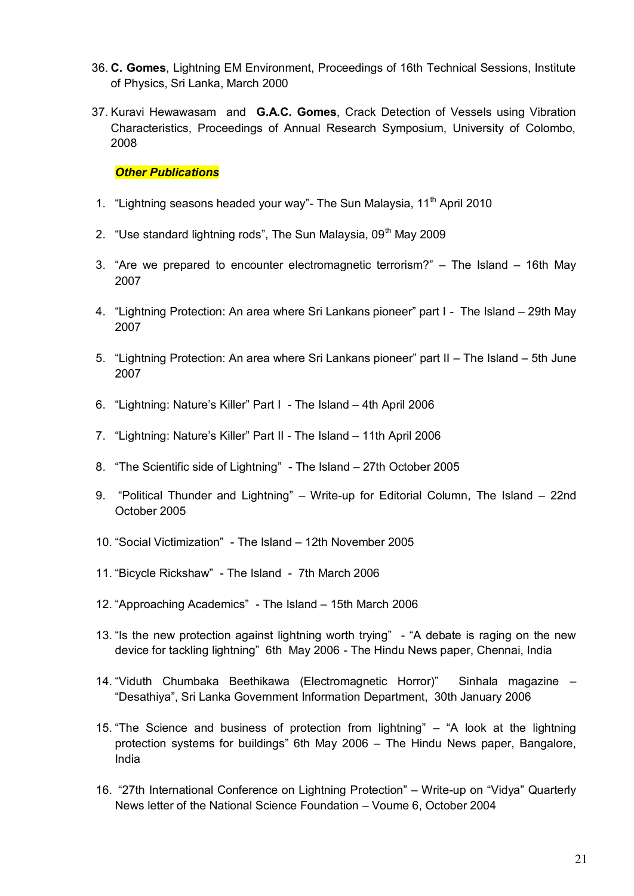- 36. **C. Gomes**, Lightning EM Environment, Proceedings of 16th Technical Sessions, Institute of Physics, Sri Lanka, March 2000
- 37. Kuravi Hewawasam and **G.A.C. Gomes**, Crack Detection of Vessels using Vibration Characteristics, Proceedings of Annual Research Symposium, University of Colombo, 2008

#### *Other Publications*

- 1. "Lightning seasons headed your way"- The Sun Malaysia,  $11<sup>th</sup>$  April 2010
- 2. "Use standard lightning rods", The Sun Malaysia,  $09<sup>th</sup>$  May 2009
- 3. "Are we prepared to encounter electromagnetic terrorism?" The Island 16th May 2007
- 4. "Lightning Protection: An area where Sri Lankans pioneer" part I The Island 29th May 2007
- 5. "Lightning Protection: An area where Sri Lankans pioneer" part II The Island 5th June 2007
- 6. "Lightning: Nature's Killer" Part I The Island 4th April 2006
- 7. "Lightning: Nature's Killer" Part II The Island 11th April 2006
- 8. "The Scientific side of Lightning" The Island 27th October 2005
- 9. "Political Thunder and Lightning" Write-up for Editorial Column, The Island 22nd October 2005
- 10. "Social Victimization" The Island 12th November 2005
- 11. "Bicycle Rickshaw" The Island 7th March 2006
- 12. "Approaching Academics" The Island 15th March 2006
- 13. "Is the new protection against lightning worth trying" "A debate is raging on the new device for tackling lightning" 6th May 2006 - The Hindu News paper, Chennai, India
- 14. "Viduth Chumbaka Beethikawa (Electromagnetic Horror)" Sinhala magazine "Desathiya", Sri Lanka Government Information Department, 30th January 2006
- 15. "The Science and business of protection from lightning" "A look at the lightning protection systems for buildings" 6th May 2006 – The Hindu News paper, Bangalore, India
- 16. "27th International Conference on Lightning Protection" Write-up on "Vidya" Quarterly News letter of the National Science Foundation – Voume 6, October 2004